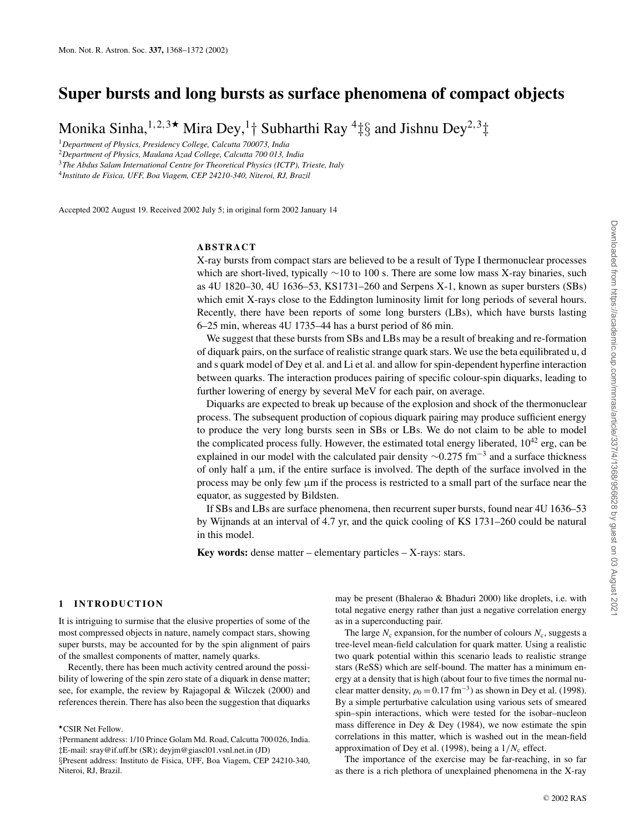# **Super bursts and long bursts as surface phenomena of compact objects**

Monika Sinha, $^{1,2,3\textcolor{red}{\star}}$  Mira Dey, $^{1+}$  Subharthi Ray  $^{4}\ddagger\S$  and Jishnu Dey $^{2,3}\ddagger$ 

<sup>1</sup>*Department of Physics, Presidency College, Calcutta 700073, India*

<sup>2</sup>*Department of Physics, Maulana Azad College, Calcutta 700 013, India*

<sup>3</sup>*The Abdus Salam International Centre for Theoretical Physics (ICTP), Trieste, Italy*

4 *Instituto de Fisica, UFF, Boa Viagem, CEP 24210-340, Niteroi, RJ, Brazil*

Accepted 2002 August 19. Received 2002 July 5; in original form 2002 January 14

## **ABSTRACT**

X-ray bursts from compact stars are believed to be a result of Type I thermonuclear processes which are short-lived, typically ∼10 to 100 s. There are some low mass X-ray binaries, such as 4U 1820–30, 4U 1636–53, KS1731–260 and Serpens X-1, known as super bursters (SBs) which emit X-rays close to the Eddington luminosity limit for long periods of several hours. Recently, there have been reports of some long bursters (LBs), which have bursts lasting 6–25 min, whereas 4U 1735–44 has a burst period of 86 min.

We suggest that these bursts from SBs and LBs may be a result of breaking and re-formation of diquark pairs, on the surface of realistic strange quark stars. We use the beta equilibrated u, d and s quark model of Dey et al. and Li et al. and allow for spin-dependent hyperfine interaction between quarks. The interaction produces pairing of specific colour-spin diquarks, leading to further lowering of energy by several MeV for each pair, on average.

Diquarks are expected to break up because of the explosion and shock of the thermonuclear process. The subsequent production of copious diquark pairing may produce sufficient energy to produce the very long bursts seen in SBs or LBs. We do not claim to be able to model the complicated process fully. However, the estimated total energy liberated,  $10^{42}$  erg, can be explained in our model with the calculated pair density  $\sim$ 0.275 fm<sup>-3</sup> and a surface thickness of only half a  $\mu$ m, if the entire surface is involved. The depth of the surface involved in the process may be only few µm if the process is restricted to a small part of the surface near the equator, as suggested by Bildsten.

If SBs and LBs are surface phenomena, then recurrent super bursts, found near 4U 1636–53 by Wijnands at an interval of 4.7 yr, and the quick cooling of KS 1731–260 could be natural in this model.

**Key words:** dense matter – elementary particles – X-rays: stars.

#### **1 INTRODUCTION**

It is intriguing to surmise that the elusive properties of some of the most compressed objects in nature, namely compact stars, showing super bursts, may be accounted for by the spin alignment of pairs of the smallest components of matter, namely quarks.

Recently, there has been much activity centred around the possibility of lowering of the spin zero state of a diquark in dense matter; see, for example, the review by Rajagopal & Wilczek (2000) and references therein. There has also been the suggestion that diquarks

#### ⋆CSIR Net Fellow.

may be present (Bhalerao & Bhaduri 2000) like droplets, i.e. with total negative energy rather than just a negative correlation energy as in a superconducting pair.

The large  $N_c$  expansion, for the number of colours  $N_c$ , suggests a tree-level mean-field calculation for quark matter. Using a realistic two quark potential within this scenario leads to realistic strange stars (ReSS) which are self-bound. The matter has a minimum energy at a density that is high (about four to five times the normal nuclear matter density,  $\rho_0 = 0.17$  fm<sup>-3</sup>) as shown in Dey et al. (1998). By a simple perturbative calculation using various sets of smeared spin–spin interactions, which were tested for the isobar–nucleon mass difference in Dey & Dey (1984), we now estimate the spin correlations in this matter, which is washed out in the mean-field approximation of Dey et al. (1998), being a  $1/N_c$  effect.

The importance of the exercise may be far-reaching, in so far as there is a rich plethora of unexplained phenomena in the X-ray

<sup>†</sup>Permanent address: 1/10 Prince Golam Md. Road, Calcutta 700 026, India. ‡E-mail: sray@if.uff.br (SR); deyjm@giascl01.vsnl.net.in (JD) §Present address: Instituto de Fisica, UFF, Boa Viagem, CEP 24210-340, Niteroi, RJ, Brazil.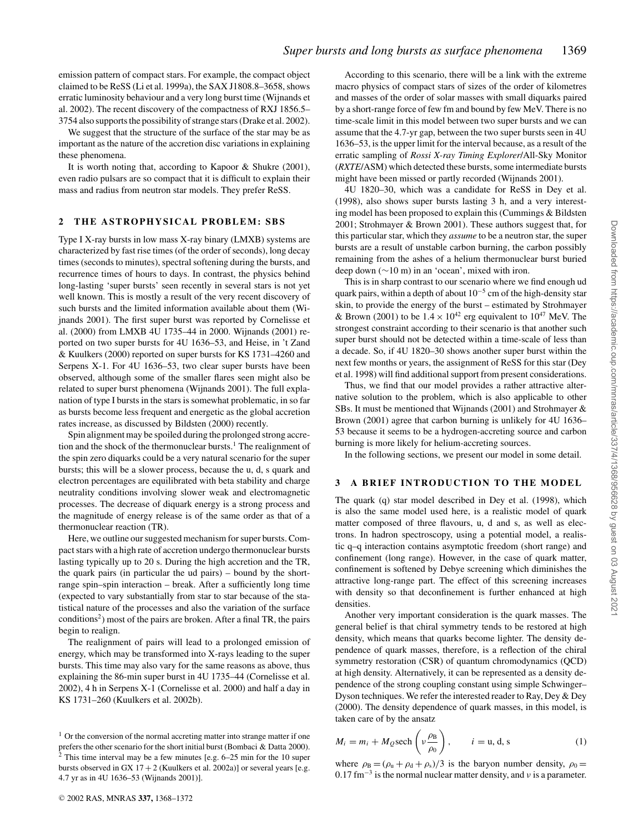emission pattern of compact stars. For example, the compact object claimed to be ReSS (Li et al. 1999a), the SAX J1808.8–3658, shows erratic luminosity behaviour and a very long burst time (Wijnands et al. 2002). The recent discovery of the compactness of RXJ 1856.5– 3754 also supports the possibility of strange stars (Drake et al. 2002).

We suggest that the structure of the surface of the star may be as important as the nature of the accretion disc variations in explaining these phenomena.

It is worth noting that, according to Kapoor & Shukre (2001), even radio pulsars are so compact that it is difficult to explain their mass and radius from neutron star models. They prefer ReSS.

### **2 THE ASTROPHYSICAL PROBLEM: SBS**

Type I X-ray bursts in low mass X-ray binary (LMXB) systems are characterized by fast rise times (of the order of seconds), long decay times (seconds to minutes), spectral softening during the bursts, and recurrence times of hours to days. In contrast, the physics behind long-lasting 'super bursts' seen recently in several stars is not yet well known. This is mostly a result of the very recent discovery of such bursts and the limited information available about them (Wijnands 2001). The first super burst was reported by Cornelisse et al. (2000) from LMXB 4U 1735–44 in 2000. Wijnands (2001) reported on two super bursts for 4U 1636–53, and Heise, in 't Zand & Kuulkers (2000) reported on super bursts for KS 1731–4260 and Serpens X-1. For 4U 1636–53, two clear super bursts have been observed, although some of the smaller flares seen might also be related to super burst phenomena (Wijnands 2001). The full explanation of type I bursts in the stars is somewhat problematic, in so far as bursts become less frequent and energetic as the global accretion rates increase, as discussed by Bildsten (2000) recently.

Spin alignment may be spoiled during the prolonged strong accretion and the shock of the thermonuclear bursts.<sup>1</sup> The realignment of the spin zero diquarks could be a very natural scenario for the super bursts; this will be a slower process, because the u, d, s quark and electron percentages are equilibrated with beta stability and charge neutrality conditions involving slower weak and electromagnetic processes. The decrease of diquark energy is a strong process and the magnitude of energy release is of the same order as that of a thermonuclear reaction (TR).

Here, we outline our suggested mechanism for super bursts. Compact stars with a high rate of accretion undergo thermonuclear bursts lasting typically up to 20 s. During the high accretion and the TR, the quark pairs (in particular the ud pairs) – bound by the shortrange spin–spin interaction – break. After a sufficiently long time (expected to vary substantially from star to star because of the statistical nature of the processes and also the variation of the surface conditions<sup>2</sup>) most of the pairs are broken. After a final TR, the pairs begin to realign.

The realignment of pairs will lead to a prolonged emission of energy, which may be transformed into X-rays leading to the super bursts. This time may also vary for the same reasons as above, thus explaining the 86-min super burst in 4U 1735–44 (Cornelisse et al. 2002), 4 h in Serpens X-1 (Cornelisse et al. 2000) and half a day in KS 1731–260 (Kuulkers et al. 2002b).

According to this scenario, there will be a link with the extreme macro physics of compact stars of sizes of the order of kilometres and masses of the order of solar masses with small diquarks paired by a short-range force of few fm and bound by few MeV. There is no time-scale limit in this model between two super bursts and we can assume that the 4.7-yr gap, between the two super bursts seen in 4U 1636–53, is the upper limit for the interval because, as a result of the erratic sampling of *Rossi X-ray Timing Explorer*/All-Sky Monitor (*RXTE*/ASM) which detected these bursts, some intermediate bursts might have been missed or partly recorded (Wijnands 2001).

4U 1820–30, which was a candidate for ReSS in Dey et al. (1998), also shows super bursts lasting 3 h, and a very interesting model has been proposed to explain this (Cummings & Bildsten 2001; Strohmayer & Brown 2001). These authors suggest that, for this particular star, which they *assume* to be a neutron star, the super bursts are a result of unstable carbon burning, the carbon possibly remaining from the ashes of a helium thermonuclear burst buried deep down (∼10 m) in an 'ocean', mixed with iron.

This is in sharp contrast to our scenario where we find enough ud quark pairs, within a depth of about  $10^{-5}$  cm of the high-density star skin, to provide the energy of the burst – estimated by Strohmayer & Brown (2001) to be  $1.4 \times 10^{42}$  erg equivalent to  $10^{47}$  MeV. The strongest constraint according to their scenario is that another such super burst should not be detected within a time-scale of less than a decade. So, if 4U 1820–30 shows another super burst within the next few months or years, the assignment of ReSS for this star (Dey et al. 1998) will find additional support from present considerations.

Thus, we find that our model provides a rather attractive alternative solution to the problem, which is also applicable to other SBs. It must be mentioned that Wijnands (2001) and Strohmayer & Brown (2001) agree that carbon burning is unlikely for 4U 1636– 53 because it seems to be a hydrogen-accreting source and carbon burning is more likely for helium-accreting sources.

In the following sections, we present our model in some detail.

#### **3 A BRIEF INTRODUCTION TO THE MODEL**

The quark (q) star model described in Dey et al. (1998), which is also the same model used here, is a realistic model of quark matter composed of three flavours, u, d and s, as well as electrons. In hadron spectroscopy, using a potential model, a realistic q–q interaction contains asymptotic freedom (short range) and confinement (long range). However, in the case of quark matter, confinement is softened by Debye screening which diminishes the attractive long-range part. The effect of this screening increases with density so that deconfinement is further enhanced at high densities.

Another very important consideration is the quark masses. The general belief is that chiral symmetry tends to be restored at high density, which means that quarks become lighter. The density dependence of quark masses, therefore, is a reflection of the chiral symmetry restoration (CSR) of quantum chromodynamics (QCD) at high density. Alternatively, it can be represented as a density dependence of the strong coupling constant using simple Schwinger– Dyson techniques. We refer the interested reader to Ray, Dey & Dey (2000). The density dependence of quark masses, in this model, is taken care of by the ansatz

$$
M_i = m_i + M_Q \text{sech}\left(\nu \frac{\rho_B}{\rho_0}\right), \qquad i = u, d, s \tag{1}
$$

where  $\rho_B = (\rho_u + \rho_d + \rho_s)/3$  is the baryon number density,  $\rho_0 =$ 0.17 fm<sup>-3</sup> is the normal nuclear matter density, and  $\nu$  is a parameter.

 $1$  Or the conversion of the normal accreting matter into strange matter if one prefers the other scenario for the short initial burst (Bombaci & Datta 2000).  $2$  This time interval may be a few minutes [e.g. 6–25 min for the 10 super bursts observed in GX  $17 + 2$  (Kuulkers et al. 2002a)] or several years [e.g. 4.7 yr as in 4U 1636–53 (Wijnands 2001)].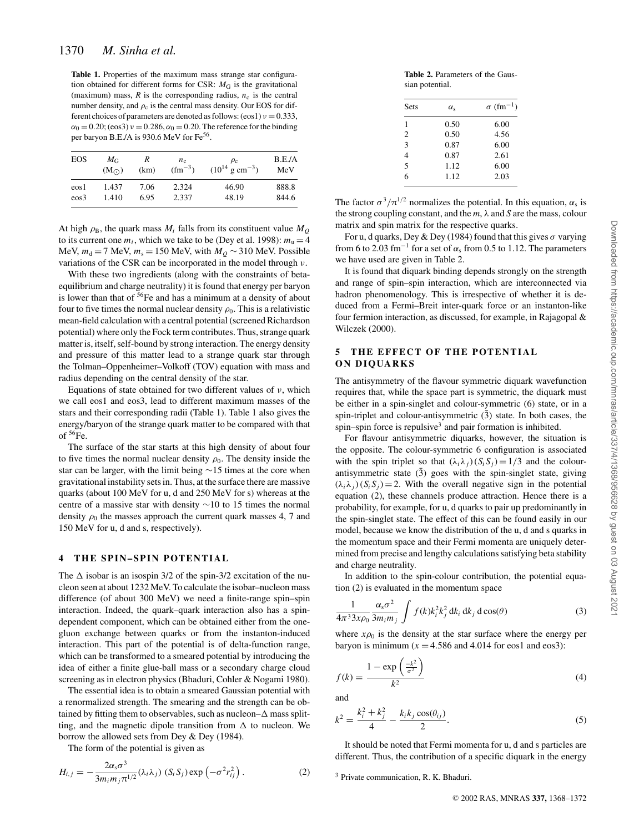**Table 1.** Properties of the maximum mass strange star configuration obtained for different forms for CSR:  $M<sub>G</sub>$  is the gravitational (maximum) mass,  $R$  is the corresponding radius,  $n_c$  is the central number density, and  $\rho_c$  is the central mass density. Our EOS for different choices of parameters are denoted as follows:  $(\cos 1)v = 0.333$ ,  $\alpha_0 = 0.20$ ; (eos3)  $\nu = 0.286$ ,  $\alpha_0 = 0.20$ . The reference for the binding per baryon B.E./A is 930.6 MeV for Fe<sup>56</sup>.

| EOS      | $M_{\rm G}$   | R    | $n_{c}$     | $\rho_{\rm c}$                | B.E.A |
|----------|---------------|------|-------------|-------------------------------|-------|
|          | $(M_{\odot})$ | (km) | $(fm^{-3})$ | $(10^{14} \text{ g cm}^{-3})$ | MeV   |
| eos1     | 1.437         | 7.06 | 2.324       | 46.90                         | 888.8 |
| $\cos 3$ | 1.410         | 6.95 | 2.337       | 48.19                         | 844.6 |

At high  $\rho_B$ , the quark mass  $M_i$  falls from its constituent value  $M_Q$ to its current one  $m_i$ , which we take to be (Dey et al. 1998):  $m_u = 4$ MeV,  $m_d = 7$  MeV,  $m_s = 150$  MeV, with  $M_Q \sim 310$  MeV. Possible variations of the CSR can be incorporated in the model through ν.

With these two ingredients (along with the constraints of betaequilibrium and charge neutrality) it is found that energy per baryon is lower than that of <sup>56</sup>Fe and has a minimum at a density of about four to five times the normal nuclear density  $\rho_0$ . This is a relativistic mean-field calculation with a central potential (screened Richardson potential) where only the Fock term contributes. Thus, strange quark matter is, itself, self-bound by strong interaction. The energy density and pressure of this matter lead to a strange quark star through the Tolman–Oppenheimer–Volkoff (TOV) equation with mass and radius depending on the central density of the star.

Equations of state obtained for two different values of  $\nu$ , which we call eos1 and eos3, lead to different maximum masses of the stars and their corresponding radii (Table 1). Table 1 also gives the energy/baryon of the strange quark matter to be compared with that of  $56Fe$ .

The surface of the star starts at this high density of about four to five times the normal nuclear density  $\rho_0$ . The density inside the star can be larger, with the limit being ∼15 times at the core when gravitational instability sets in. Thus, at the surface there are massive quarks (about 100 MeV for u, d and 250 MeV for s) whereas at the centre of a massive star with density ∼10 to 15 times the normal density  $\rho_0$  the masses approach the current quark masses 4, 7 and 150 MeV for u, d and s, respectively).

#### **4 THE SPIN–SPIN POTENTIAL**

The  $\Delta$  isobar is an isospin 3/2 of the spin-3/2 excitation of the nucleon seen at about 1232 MeV. To calculate the isobar–nucleon mass difference (of about 300 MeV) we need a finite-range spin–spin interaction. Indeed, the quark–quark interaction also has a spindependent component, which can be obtained either from the onegluon exchange between quarks or from the instanton-induced interaction. This part of the potential is of delta-function range, which can be transformed to a smeared potential by introducing the idea of either a finite glue-ball mass or a secondary charge cloud screening as in electron physics (Bhaduri, Cohler & Nogami 1980).

The essential idea is to obtain a smeared Gaussian potential with a renormalized strength. The smearing and the strength can be obtained by fitting them to observables, such as nucleon– $\Delta$  mass splitting, and the magnetic dipole transition from  $\Delta$  to nucleon. We borrow the allowed sets from Dey & Dey (1984).

The form of the potential is given as

$$
H_{i,j} = -\frac{2\alpha_s \sigma^3}{3m_i m_j \pi^{1/2}} (\lambda_i \lambda_j) (S_i S_j) \exp \left(-\sigma^2 r_{ij}^2\right).
$$
 (2)

**Table 2.** Parameters of the Gaussian potential.

| Sets           | $\alpha_{s}$ | $\sigma$ $\rm (fm^{-1})$ |  |  |
|----------------|--------------|--------------------------|--|--|
| 1              | 0.50         | 6.00                     |  |  |
| 2              | 0.50         | 4.56                     |  |  |
| 3              | 0.87         | 6.00                     |  |  |
| $\overline{4}$ | 0.87         | 2.61                     |  |  |
| $\overline{5}$ | 1.12         | 6.00                     |  |  |
| 6              | 1.12         | 2.03                     |  |  |
|                |              |                          |  |  |

The factor  $\sigma^3/\pi^{1/2}$  normalizes the potential. In this equation,  $\alpha_s$  is the strong coupling constant, and the *m*, λ and *S* are the mass, colour matrix and spin matrix for the respective quarks.

For u, d quarks, Dey & Dey (1984) found that this gives  $\sigma$  varying from 6 to 2.03 fm<sup>-1</sup> for a set of  $\alpha_s$  from 0.5 to 1.12. The parameters we have used are given in Table 2.

It is found that diquark binding depends strongly on the strength and range of spin–spin interaction, which are interconnected via hadron phenomenology. This is irrespective of whether it is deduced from a Fermi–Breit inter-quark force or an instanton-like four fermion interaction, as discussed, for example, in Rajagopal & Wilczek (2000).

### **5 THE EFFECT OF THE POTENTIAL ON DIQUARKS**

The antisymmetry of the flavour symmetric diquark wavefunction requires that, while the space part is symmetric, the diquark must be either in a spin-singlet and colour-symmetric (6) state, or in a spin-triplet and colour-antisymmetric  $(\bar{3})$  state. In both cases, the spin–spin force is repulsive<sup>3</sup> and pair formation is inhibited.

For flavour antisymmetric diquarks, however, the situation is the opposite. The colour-symmetric 6 configuration is associated with the spin triplet so that  $(\lambda_i \lambda_j)(S_i S_j) = 1/3$  and the colourantisymmetric state  $(3)$  goes with the spin-singlet state, giving  $(\lambda_i \lambda_j)(S_i S_j) = 2$ . With the overall negative sign in the potential equation (2), these channels produce attraction. Hence there is a probability, for example, for u, d quarks to pair up predominantly in the spin-singlet state. The effect of this can be found easily in our model, because we know the distribution of the u, d and s quarks in the momentum space and their Fermi momenta are uniquely determined from precise and lengthy calculations satisfying beta stability and charge neutrality.

In addition to the spin-colour contribution, the potential equation (2) is evaluated in the momentum space

$$
\frac{1}{4\pi^3 3x\rho_0} \frac{\alpha_s \sigma^2}{3m_i m_j} \int f(k) k_i^2 k_j^2 dk_i dk_j d\cos(\theta)
$$
 (3)

where  $x\rho_0$  is the density at the star surface where the energy per baryon is minimum ( $x = 4.586$  and 4.014 for eos1 and eos3):

$$
f(k) = \frac{1 - \exp\left(\frac{-k^2}{\sigma^2}\right)}{k^2} \tag{4}
$$

and

$$
k^{2} = \frac{k_{i}^{2} + k_{j}^{2}}{4} - \frac{k_{i}k_{j}\cos(\theta_{ij})}{2}.
$$
 (5)

It should be noted that Fermi momenta for u, d and s particles are different. Thus, the contribution of a specific diquark in the energy

<sup>3</sup> Private communication, R. K. Bhaduri.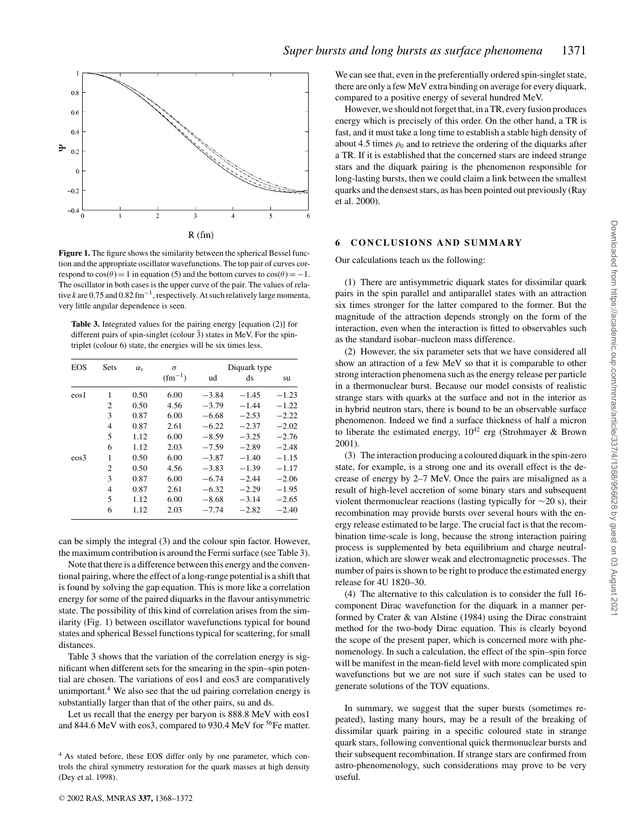

**Figure 1.** The figure shows the similarity between the spherical Bessel function and the appropriate oscillator wavefunctions. The top pair of curves correspond to  $cos(\theta) = 1$  in equation (5) and the bottom curves to  $cos(\theta) = -1$ . The oscillator in both cases is the upper curve of the pair. The values of relative *k* are 0.75 and 0.82 fm−<sup>1</sup> , respectively. At such relatively large momenta, very little angular dependence is seen.

**Table 3.** Integrated values for the pairing energy [equation (2)] for different pairs of spin-singlet (colour  $\bar{3}$ ) states in MeV. For the spintriplet (colour 6) state, the energies will be six times less.

| <b>EOS</b> | Sets           | $\alpha_{s}$ | $\sigma$    | Diquark type |         |         |
|------------|----------------|--------------|-------------|--------------|---------|---------|
|            |                |              | $(fm^{-1})$ | ud           | ds      | su      |
| $\cos 1$   | 1              | 0.50         | 6.00        | $-3.84$      | $-1.45$ | $-1.23$ |
|            | $\overline{c}$ | 0.50         | 4.56        | $-3.79$      | $-1.44$ | $-1.22$ |
|            | 3              | 0.87         | 6.00        | $-6.68$      | $-2.53$ | $-2.22$ |
|            | $\overline{4}$ | 0.87         | 2.61        | $-6.22$      | $-2.37$ | $-2.02$ |
|            | 5              | 1.12         | 6.00        | $-8.59$      | $-3.25$ | $-2.76$ |
|            | 6              | 1.12         | 2.03        | $-7.59$      | $-2.89$ | $-2.48$ |
| $\cos 3$   | 1              | 0.50         | 6.00        | $-3.87$      | $-1.40$ | $-1.15$ |
|            | $\overline{c}$ | 0.50         | 4.56        | $-3.83$      | $-1.39$ | $-1.17$ |
|            | 3              | 0.87         | 6.00        | $-6.74$      | $-2.44$ | $-2.06$ |
|            | $\overline{4}$ | 0.87         | 2.61        | $-6.32$      | $-2.29$ | $-1.95$ |
|            | 5              | 1.12         | 6.00        | $-8.68$      | $-3.14$ | $-2.65$ |
|            | 6              | 1.12         | 2.03        | $-7.74$      | $-2.82$ | $-2.40$ |

can be simply the integral (3) and the colour spin factor. However, the maximum contribution is around the Fermi surface (see Table 3).

Note that there is a difference between this energy and the conventional pairing, where the effect of a long-range potential is a shift that is found by solving the gap equation. This is more like a correlation energy for some of the paired diquarks in the flavour antisymmetric state. The possibility of this kind of correlation arises from the similarity (Fig. 1) between oscillator wavefunctions typical for bound states and spherical Bessel functions typical for scattering, for small distances.

Table 3 shows that the variation of the correlation energy is significant when different sets for the smearing in the spin–spin potential are chosen. The variations of eos1 and eos3 are comparatively unimportant.<sup>4</sup> We also see that the ud pairing correlation energy is substantially larger than that of the other pairs, su and ds.

Let us recall that the energy per baryon is 888.8 MeV with eos1 and 844.6 MeV with eos3, compared to 930.4 MeV for <sup>56</sup>Fe matter. We can see that, even in the preferentially ordered spin-singlet state, there are only a few MeV extra binding on average for every diquark, compared to a positive energy of several hundred MeV.

However, we should not forget that, in a TR, every fusion produces energy which is precisely of this order. On the other hand, a TR is fast, and it must take a long time to establish a stable high density of about 4.5 times  $\rho_0$  and to retrieve the ordering of the diquarks after a TR. If it is established that the concerned stars are indeed strange stars and the diquark pairing is the phenomenon responsible for long-lasting bursts, then we could claim a link between the smallest quarks and the densest stars, as has been pointed out previously (Ray et al. 2000).

#### **6 CONCLUSIONS AND SUMMARY**

Our calculations teach us the following:

(1) There are antisymmetric diquark states for dissimilar quark pairs in the spin parallel and antiparallel states with an attraction six times stronger for the latter compared to the former. But the magnitude of the attraction depends strongly on the form of the interaction, even when the interaction is fitted to observables such as the standard isobar–nucleon mass difference.

(2) However, the six parameter sets that we have considered all show an attraction of a few MeV so that it is comparable to other strong interaction phenomena such as the energy release per particle in a thermonuclear burst. Because our model consists of realistic strange stars with quarks at the surface and not in the interior as in hybrid neutron stars, there is bound to be an observable surface phenomenon. Indeed we find a surface thickness of half a micron to liberate the estimated energy,  $10^{42}$  erg (Strohmayer & Brown 2001).

(3) The interaction producing a coloured diquark in the spin-zero state, for example, is a strong one and its overall effect is the decrease of energy by 2–7 MeV. Once the pairs are misaligned as a result of high-level accretion of some binary stars and subsequent violent thermonuclear reactions (lasting typically for ∼20 s), their recombination may provide bursts over several hours with the energy release estimated to be large. The crucial fact is that the recombination time-scale is long, because the strong interaction pairing process is supplemented by beta equilibrium and charge neutralization, which are slower weak and electromagnetic processes. The number of pairs is shown to be right to produce the estimated energy release for 4U 1820–30.

(4) The alternative to this calculation is to consider the full 16 component Dirac wavefunction for the diquark in a manner performed by Crater & van Alstine (1984) using the Dirac constraint method for the two-body Dirac equation. This is clearly beyond the scope of the present paper, which is concerned more with phenomenology. In such a calculation, the effect of the spin–spin force will be manifest in the mean-field level with more complicated spin wavefunctions but we are not sure if such states can be used to generate solutions of the TOV equations.

In summary, we suggest that the super bursts (sometimes repeated), lasting many hours, may be a result of the breaking of dissimilar quark pairing in a specific coloured state in strange quark stars, following conventional quick thermonuclear bursts and their subsequent recombination. If strange stars are confirmed from astro-phenomenology, such considerations may prove to be very useful.

<sup>4</sup> As stated before, these EOS differ only by one parameter, which controls the chiral symmetry restoration for the quark masses at high density (Dey et al. 1998).